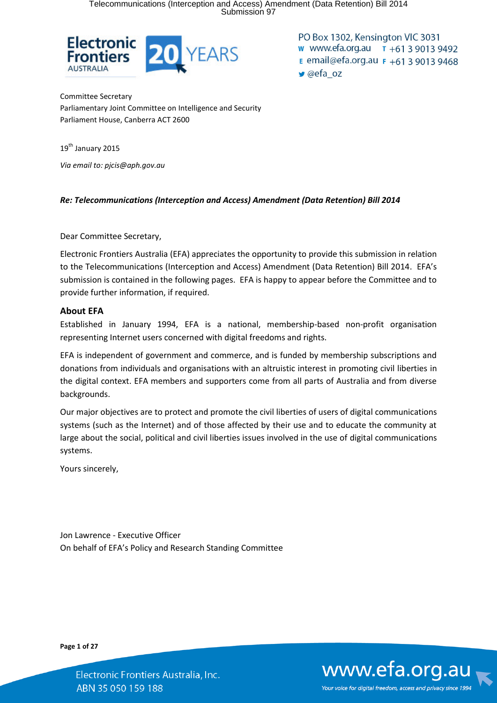Telecommunications (Interception and Access) Amendment (Data Retention) Bill 2014 Submission 97



PO Box 1302, Kensington VIC 3031 w www.efa.org.au  $\tau$  +61 3 9013 9492 **E** email@efa.org.au **F** +61 3 9013 9468  $\blacktriangleright$  @efa oz

Committee Secretary Parliamentary Joint Committee on Intelligence and Security Parliament House, Canberra ACT 2600

19<sup>th</sup> January 2015 *Via email to: pjcis@aph.gov.au* 

#### *Re: Telecommunications (Interception and Access) Amendment (Data Retention) Bill 2014*

Dear Committee Secretary,

Electronic Frontiers Australia (EFA) appreciates the opportunity to provide this submission in relation to the Telecommunications (Interception and Access) Amendment (Data Retention) Bill 2014. EFA's submission is contained in the following pages. EFA is happy to appear before the Committee and to provide further information, if required.

#### **About EFA**

Established in January 1994, EFA is a national, membership-based non-profit organisation representing Internet users concerned with digital freedoms and rights.

EFA is independent of government and commerce, and is funded by membership subscriptions and donations from individuals and organisations with an altruistic interest in promoting civil liberties in the digital context. EFA members and supporters come from all parts of Australia and from diverse backgrounds.

Our major objectives are to protect and promote the civil liberties of users of digital communications systems (such as the Internet) and of those affected by their use and to educate the community at large about the social, political and civil liberties issues involved in the use of digital communications systems.

Yours sincerely,

Jon Lawrence - Executive Officer On behalf of EFA's Policy and Research Standing Committee

**Page 1 of 27**

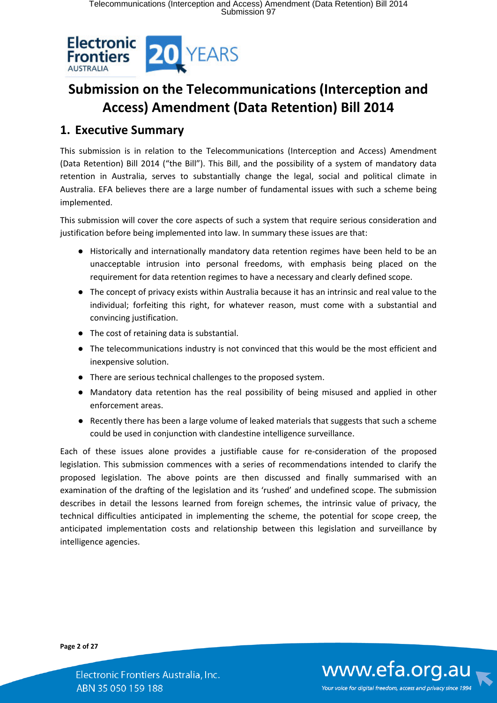

# **Submission on the Telecommunications (Interception and Access) Amendment (Data Retention) Bill 2014**

# **1. Executive Summary**

This submission is in relation to the Telecommunications (Interception and Access) Amendment (Data Retention) Bill 2014 ("the Bill"). This Bill, and the possibility of a system of mandatory data retention in Australia, serves to substantially change the legal, social and political climate in Australia. EFA believes there are a large number of fundamental issues with such a scheme being implemented.

This submission will cover the core aspects of such a system that require serious consideration and justification before being implemented into law. In summary these issues are that:

- Historically and internationally mandatory data retention regimes have been held to be an unacceptable intrusion into personal freedoms, with emphasis being placed on the requirement for data retention regimes to have a necessary and clearly defined scope.
- The concept of privacy exists within Australia because it has an intrinsic and real value to the individual; forfeiting this right, for whatever reason, must come with a substantial and convincing justification.
- The cost of retaining data is substantial.
- The telecommunications industry is not convinced that this would be the most efficient and inexpensive solution.
- There are serious technical challenges to the proposed system.
- Mandatory data retention has the real possibility of being misused and applied in other enforcement areas.
- Recently there has been a large volume of leaked materials that suggests that such a scheme could be used in conjunction with clandestine intelligence surveillance.

Each of these issues alone provides a justifiable cause for re-consideration of the proposed legislation. This submission commences with a series of recommendations intended to clarify the proposed legislation. The above points are then discussed and finally summarised with an examination of the drafting of the legislation and its 'rushed' and undefined scope. The submission describes in detail the lessons learned from foreign schemes, the intrinsic value of privacy, the technical difficulties anticipated in implementing the scheme, the potential for scope creep, the anticipated implementation costs and relationship between this legislation and surveillance by intelligence agencies.

**Page 2 of 27**

www.efa.org.au Your voice for digital freedom, access and privacy since 1994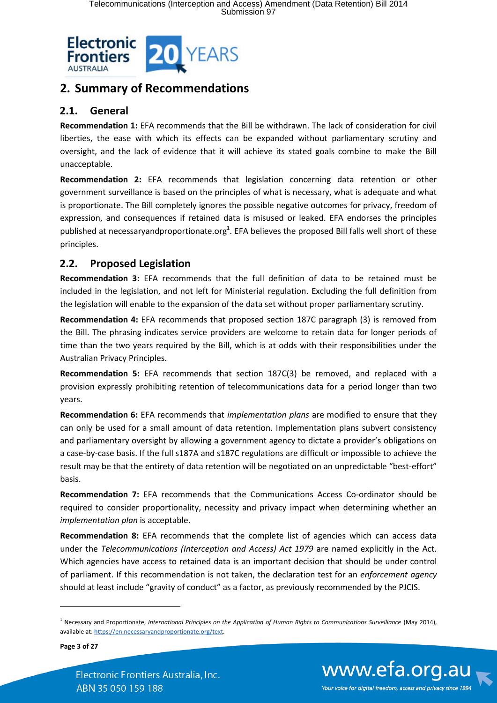

# **2. Summary of Recommendations**

## **2.1. General**

**Recommendation 1:** EFA recommends that the Bill be withdrawn. The lack of consideration for civil liberties, the ease with which its effects can be expanded without parliamentary scrutiny and oversight, and the lack of evidence that it will achieve its stated goals combine to make the Bill unacceptable.

**Recommendation 2:** EFA recommends that legislation concerning data retention or other government surveillance is based on the principles of what is necessary, what is adequate and what is proportionate. The Bill completely ignores the possible negative outcomes for privacy, freedom of expression, and consequences if retained data is misused or leaked. EFA endorses the principles published at necessaryandproportionate.org<sup>1</sup>. EFA believes the proposed Bill falls well short of these principles.

## **2.2. Proposed Legislation**

**Recommendation 3:** EFA recommends that the full definition of data to be retained must be included in the legislation, and not left for Ministerial regulation. Excluding the full definition from the legislation will enable to the expansion of the data set without proper parliamentary scrutiny.

**Recommendation 4:** EFA recommends that proposed section 187C paragraph (3) is removed from the Bill. The phrasing indicates service providers are welcome to retain data for longer periods of time than the two years required by the Bill, which is at odds with their responsibilities under the Australian Privacy Principles.

**Recommendation 5:** EFA recommends that section 187C(3) be removed, and replaced with a provision expressly prohibiting retention of telecommunications data for a period longer than two years.

**Recommendation 6:** EFA recommends that *implementation plans* are modified to ensure that they can only be used for a small amount of data retention. Implementation plans subvert consistency and parliamentary oversight by allowing a government agency to dictate a provider's obligations on a case-by-case basis. If the full s187A and s187C regulations are difficult or impossible to achieve the result may be that the entirety of data retention will be negotiated on an unpredictable "best-effort" basis.

**Recommendation 7:** EFA recommends that the Communications Access Co-ordinator should be required to consider proportionality, necessity and privacy impact when determining whether an *implementation plan* is acceptable.

**Recommendation 8:** EFA recommends that the complete list of agencies which can access data under the *Telecommunications (Interception and Access) Act 1979* are named explicitly in the Act. Which agencies have access to retained data is an important decision that should be under control of parliament. If this recommendation is not taken, the declaration test for an *enforcement agency* should at least include "gravity of conduct" as a factor, as previously recommended by the PJCIS.

**Page 3 of 27**

 $\overline{a}$ 





<sup>1</sup> Necessary and Proportionate, *International Principles on the Application of Human Rights to Communications Surveillance* (May 2014), available at: https://en.necessaryandproportionate.org/text.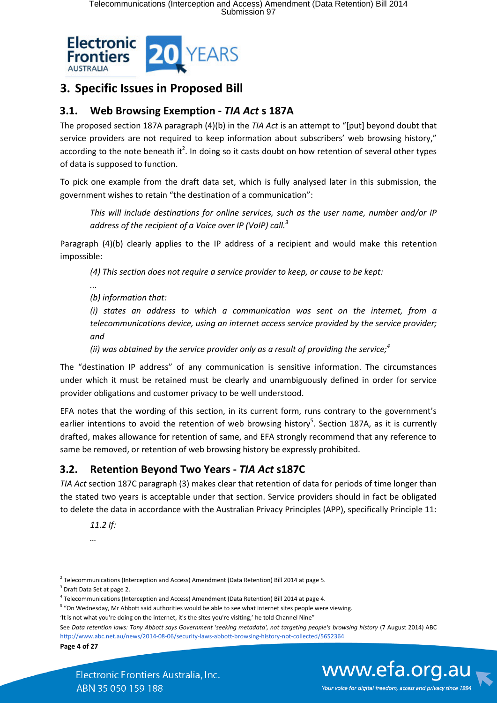

# **3. Specific Issues in Proposed Bill**

## **3.1. Web Browsing Exemption -** *TIA Act* **s 187A**

The proposed section 187A paragraph (4)(b) in the *TIA Act* is an attempt to "[put] beyond doubt that service providers are not required to keep information about subscribers' web browsing history," according to the note beneath it<sup>2</sup>. In doing so it casts doubt on how retention of several other types of data is supposed to function.

To pick one example from the draft data set, which is fully analysed later in this submission, the government wishes to retain "the destination of a communication":

*This will include destinations for online services, such as the user name, number and/or IP address of the recipient of a Voice over IP (VoIP) call.<sup>3</sup>*

Paragraph (4)(b) clearly applies to the IP address of a recipient and would make this retention impossible:

*(4) This section does not require a service provider to keep, or cause to be kept:* 

*...*

*(b) information that:* 

*(i) states an address to which a communication was sent on the internet, from a telecommunications device, using an internet access service provided by the service provider; and*

*(ii) was obtained by the service provider only as a result of providing the service;<sup>4</sup>*

The "destination IP address" of any communication is sensitive information. The circumstances under which it must be retained must be clearly and unambiguously defined in order for service provider obligations and customer privacy to be well understood.

EFA notes that the wording of this section, in its current form, runs contrary to the government's earlier intentions to avoid the retention of web browsing history<sup>5</sup>. Section 187A, as it is currently drafted, makes allowance for retention of same, and EFA strongly recommend that any reference to same be removed, or retention of web browsing history be expressly prohibited.

# **3.2. Retention Beyond Two Years -** *TIA Act* **s187C**

*TIA Act* section 187C paragraph (3) makes clear that retention of data for periods of time longer than the stated two years is acceptable under that section. Service providers should in fact be obligated to delete the data in accordance with the Australian Privacy Principles (APP), specifically Principle 11:

*11.2 If: …*

**Page 4 of 27**



 $2$  Telecommunications (Interception and Access) Amendment (Data Retention) Bill 2014 at page 5.

<sup>&</sup>lt;sup>3</sup> Draft Data Set at page 2.

<sup>4</sup> Telecommunications (Interception and Access) Amendment (Data Retention) Bill 2014 at page 4.

<sup>&</sup>lt;sup>5</sup> "On Wednesday, Mr Abbott said authorities would be able to see what internet sites people were viewing.

<sup>&#</sup>x27;It is not what you're doing on the internet, it's the sites you're visiting,' he told Channel Nine"

See *Data retention laws: Tony Abbott says Government 'seeking metadata', not targeting people's browsing history* (7 August 2014) ABC http://www.abc.net.au/news/2014-08-06/security-laws-abbott-browsing-history-not-collected/5652364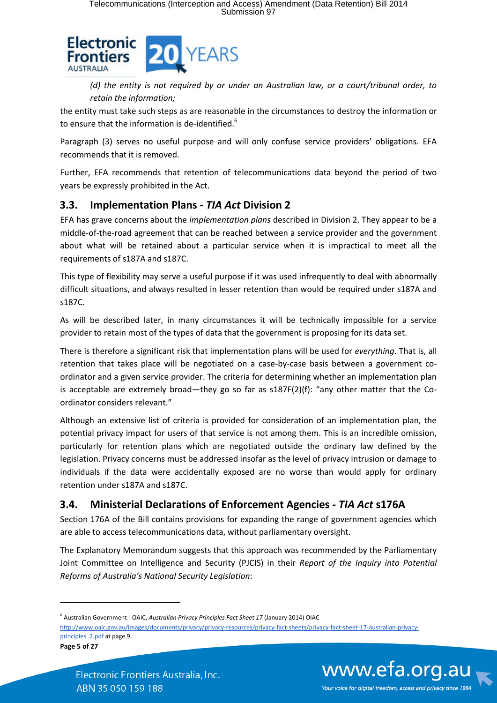

*(d) the entity is not required by or under an Australian law, or a court/tribunal order, to retain the information;* 

the entity must take such steps as are reasonable in the circumstances to destroy the information or to ensure that the information is de-identified.<sup>6</sup>

Paragraph (3) serves no useful purpose and will only confuse service providers' obligations. EFA recommends that it is removed.

Further, EFA recommends that retention of telecommunications data beyond the period of two years be expressly prohibited in the Act.

## **3.3. Implementation Plans -** *TIA Act* **Division 2**

EFA has grave concerns about the *implementation plans* described in Division 2. They appear to be a middle-of-the-road agreement that can be reached between a service provider and the government about what will be retained about a particular service when it is impractical to meet all the requirements of s187A and s187C.

This type of flexibility may serve a useful purpose if it was used infrequently to deal with abnormally difficult situations, and always resulted in lesser retention than would be required under s187A and s187C.

As will be described later, in many circumstances it will be technically impossible for a service provider to retain most of the types of data that the government is proposing for its data set.

There is therefore a significant risk that implementation plans will be used for *everything*. That is, all retention that takes place will be negotiated on a case-by-case basis between a government coordinator and a given service provider. The criteria for determining whether an implementation plan is acceptable are extremely broad—they go so far as  $s187F(2)(f)$ : "any other matter that the Coordinator considers relevant."

Although an extensive list of criteria is provided for consideration of an implementation plan, the potential privacy impact for users of that service is not among them. This is an incredible omission, particularly for retention plans which are negotiated outside the ordinary law defined by the legislation. Privacy concerns must be addressed insofar as the level of privacy intrusion or damage to individuals if the data were accidentally exposed are no worse than would apply for ordinary retention under s187A and s187C.

# **3.4. Ministerial Declarations of Enforcement Agencies -** *TIA Act* **s176A**

Section 176A of the Bill contains provisions for expanding the range of government agencies which are able to access telecommunications data, without parliamentary oversight.

The Explanatory Memorandum suggests that this approach was recommended by the Parliamentary Joint Committee on Intelligence and Security (PJCIS) in their *Report of the Inquiry into Potential Reforms of Australia's National Security Legislation*:

**Page 5 of 27**

 $\overline{a}$ 



<sup>6</sup> Australian Government - OAIC, *Australian Privacy Principles Fact Sheet 17* (January 2014) OIAC

http://www.oaic.gov.au/images/documents/privacy/privacy-resources/privacy-fact-sheets/privacy-fact-sheet-17-australian-privacyprinciples 2.pdf at page 9.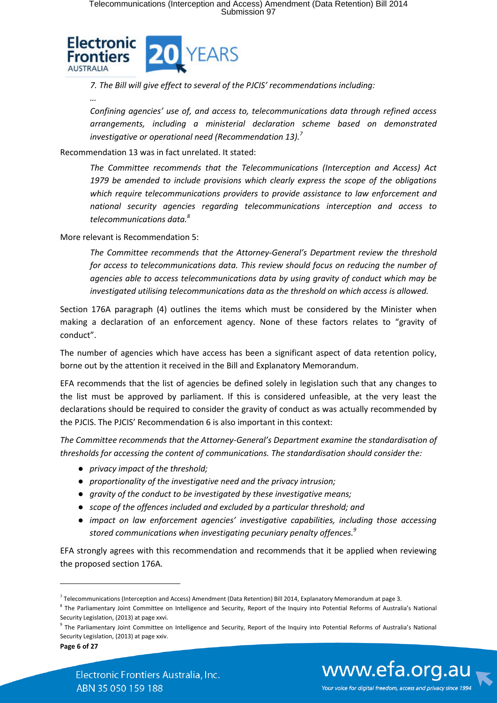

*7. The Bill will give effect to several of the PJCIS' recommendations including:*

*…*

*Confining agencies' use of, and access to, telecommunications data through refined access arrangements, including a ministerial declaration scheme based on demonstrated investigative or operational need (Recommendation 13).<sup>7</sup>*

Recommendation 13 was in fact unrelated. It stated:

*The Committee recommends that the Telecommunications (Interception and Access) Act 1979 be amended to include provisions which clearly express the scope of the obligations which require telecommunications providers to provide assistance to law enforcement and national security agencies regarding telecommunications interception and access to telecommunications data.<sup>8</sup>*

More relevant is Recommendation 5:

*The Committee recommends that the Attorney-General's Department review the threshold*  for access to telecommunications data. This review should focus on reducing the number of *agencies able to access telecommunications data by using gravity of conduct which may be investigated utilising telecommunications data as the threshold on which access is allowed.* 

Section 176A paragraph (4) outlines the items which must be considered by the Minister when making a declaration of an enforcement agency. None of these factors relates to "gravity of conduct".

The number of agencies which have access has been a significant aspect of data retention policy, borne out by the attention it received in the Bill and Explanatory Memorandum.

EFA recommends that the list of agencies be defined solely in legislation such that any changes to the list must be approved by parliament. If this is considered unfeasible, at the very least the declarations should be required to consider the gravity of conduct as was actually recommended by the PJCIS. The PJCIS' Recommendation 6 is also important in this context:

*The Committee recommends that the Attorney-General's Department examine the standardisation of thresholds for accessing the content of communications. The standardisation should consider the:* 

- *privacy impact of the threshold;*
- *proportionality of the investigative need and the privacy intrusion;*
- *gravity of the conduct to be investigated by these investigative means;*
- *scope of the offences included and excluded by a particular threshold; and*
- *impact on law enforcement agencies' investigative capabilities, including those accessing stored communications when investigating pecuniary penalty offences.<sup>9</sup>*

EFA strongly agrees with this recommendation and recommends that it be applied when reviewing the proposed section 176A.

**Page 6 of 27**



<sup>&</sup>lt;sup>7</sup> Telecommunications (Interception and Access) Amendment (Data Retention) Bill 2014, Explanatory Memorandum at page 3.

<sup>&</sup>lt;sup>8</sup> The Parliamentary Joint Committee on Intelligence and Security, Report of the Inquiry into Potential Reforms of Australia's National Security Legislation, (2013) at page xxvi.

<sup>&</sup>lt;sup>9</sup> The Parliamentary Joint Committee on Intelligence and Security, Report of the Inquiry into Potential Reforms of Australia's National Security Legislation, (2013) at page xxiv.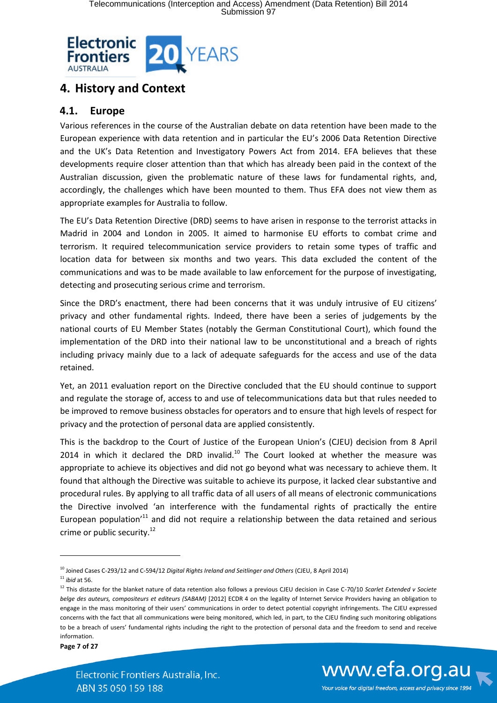

# **4. History and Context**

### **4.1. Europe**

Various references in the course of the Australian debate on data retention have been made to the European experience with data retention and in particular the EU's 2006 Data Retention Directive and the UK's Data Retention and Investigatory Powers Act from 2014. EFA believes that these developments require closer attention than that which has already been paid in the context of the Australian discussion, given the problematic nature of these laws for fundamental rights, and, accordingly, the challenges which have been mounted to them. Thus EFA does not view them as appropriate examples for Australia to follow.

The EU's Data Retention Directive (DRD) seems to have arisen in response to the terrorist attacks in Madrid in 2004 and London in 2005. It aimed to harmonise EU efforts to combat crime and terrorism. It required telecommunication service providers to retain some types of traffic and location data for between six months and two years. This data excluded the content of the communications and was to be made available to law enforcement for the purpose of investigating, detecting and prosecuting serious crime and terrorism.

Since the DRD's enactment, there had been concerns that it was unduly intrusive of EU citizens' privacy and other fundamental rights. Indeed, there have been a series of judgements by the national courts of EU Member States (notably the German Constitutional Court), which found the implementation of the DRD into their national law to be unconstitutional and a breach of rights including privacy mainly due to a lack of adequate safeguards for the access and use of the data retained.

Yet, an 2011 evaluation report on the Directive concluded that the EU should continue to support and regulate the storage of, access to and use of telecommunications data but that rules needed to be improved to remove business obstacles for operators and to ensure that high levels of respect for privacy and the protection of personal data are applied consistently.

This is the backdrop to the Court of Justice of the European Union's (CJEU) decision from 8 April 2014 in which it declared the DRD invalid. $^{10}$  The Court looked at whether the measure was appropriate to achieve its objectives and did not go beyond what was necessary to achieve them. It found that although the Directive was suitable to achieve its purpose, it lacked clear substantive and procedural rules. By applying to all traffic data of all users of all means of electronic communications the Directive involved 'an interference with the fundamental rights of practically the entire European population<sup> $11$ </sup> and did not require a relationship between the data retained and serious crime or public security.<sup>12</sup>



<sup>10</sup> Joined Cases C-293/12 and C-594/12 *Digital Rights Ireland and Seitlinger and Others* (CJEU, 8 April 2014) <sup>11</sup> *ibid* at 56.

<sup>12</sup> This distaste for the blanket nature of data retention also follows a previous CJEU decision in Case C-70/10 *Scarlet Extended v Societe belge des auteurs, compositeurs et editeurs (SABAM)* [2012] ECDR 4 on the legality of Internet Service Providers having an obligation to engage in the mass monitoring of their users' communications in order to detect potential copyright infringements. The CJEU expressed concerns with the fact that all communications were being monitored, which led, in part, to the CJEU finding such monitoring obligations to be a breach of users' fundamental rights including the right to the protection of personal data and the freedom to send and receive information.

**Page 7 of 27**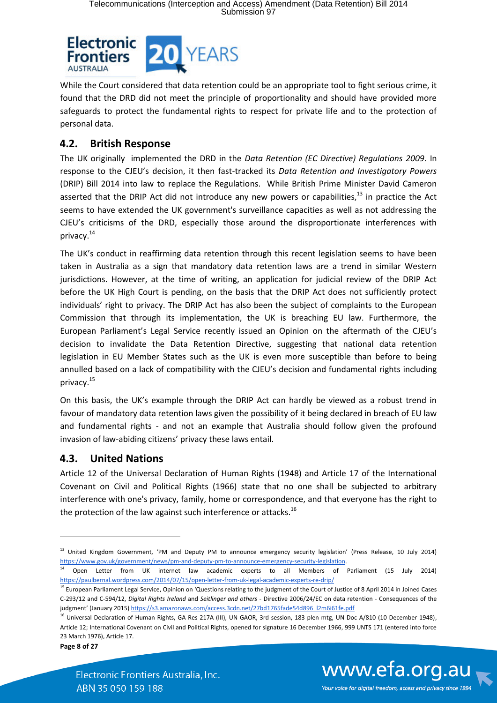

While the Court considered that data retention could be an appropriate tool to fight serious crime, it found that the DRD did not meet the principle of proportionality and should have provided more safeguards to protect the fundamental rights to respect for private life and to the protection of personal data.

#### **4.2. British Response**

The UK originally implemented the DRD in the *Data Retention (EC Directive) Regulations 2009*. In response to the CJEU's decision, it then fast-tracked its *Data Retention and Investigatory Powers* (DRIP) Bill 2014 into law to replace the Regulations. While British Prime Minister David Cameron asserted that the DRIP Act did not introduce any new powers or capabilities.<sup>13</sup> in practice the Act seems to have extended the UK government's surveillance capacities as well as not addressing the CJEU's criticisms of the DRD, especially those around the disproportionate interferences with privacy.<sup>14</sup>

The UK's conduct in reaffirming data retention through this recent legislation seems to have been taken in Australia as a sign that mandatory data retention laws are a trend in similar Western jurisdictions. However, at the time of writing, an application for judicial review of the DRIP Act before the UK High Court is pending, on the basis that the DRIP Act does not sufficiently protect individuals' right to privacy. The DRIP Act has also been the subject of complaints to the European Commission that through its implementation, the UK is breaching EU law. Furthermore, the European Parliament's Legal Service recently issued an Opinion on the aftermath of the CJEU's decision to invalidate the Data Retention Directive, suggesting that national data retention legislation in EU Member States such as the UK is even more susceptible than before to being annulled based on a lack of compatibility with the CJEU's decision and fundamental rights including privacy.<sup>15</sup>

On this basis, the UK's example through the DRIP Act can hardly be viewed as a robust trend in favour of mandatory data retention laws given the possibility of it being declared in breach of EU law and fundamental rights - and not an example that Australia should follow given the profound invasion of law-abiding citizens' privacy these laws entail.

#### **4.3. United Nations**

Article 12 of the Universal Declaration of Human Rights (1948) and Article 17 of the International Covenant on Civil and Political Rights (1966) state that no one shall be subjected to arbitrary interference with one's privacy, family, home or correspondence, and that everyone has the right to the protection of the law against such interference or attacks.<sup>16</sup>

**Page 8 of 27**

**.** 





Your voice for digital freedom, access and privacy since 1994

<sup>&</sup>lt;sup>13</sup> United Kingdom Government, 'PM and Deputy PM to announce emergency security legislation' (Press Release, 10 July 2014) https://www.gov.uk/government/news/pm-and-deputy-pm-to-announce-emergency-security-legislation.

<sup>14</sup> Open Letter from UK internet law academic experts to all Members of Parliament (15 July 2014) https://paulbernal.wordpress.com/2014/07/15/open-letter-from-uk-legal-academic-experts-re-drip/

<sup>&</sup>lt;sup>15</sup> European Parliament Legal Service, Opinion on 'Questions relating to the judgment of the Court of Justice of 8 April 2014 in Joined Cases C-293/12 and C-594/12, *Digital Rights Ireland* and *Seitlinger and others* - Directive 2006/24/EC on data retention - Consequences of the judgment' (January 2015) https://s3.amazonaws.com/access.3cdn.net/27bd1765fade54d896 l2m6i61fe.pdf

<sup>&</sup>lt;sup>16</sup> Universal Declaration of Human Rights, GA Res 217A (III), UN GAOR, 3rd session, 183 plen mtg, UN Doc A/810 (10 December 1948), Article 12; International Covenant on Civil and Political Rights, opened for signature 16 December 1966, 999 UNTS 171 (entered into force 23 March 1976), Article 17.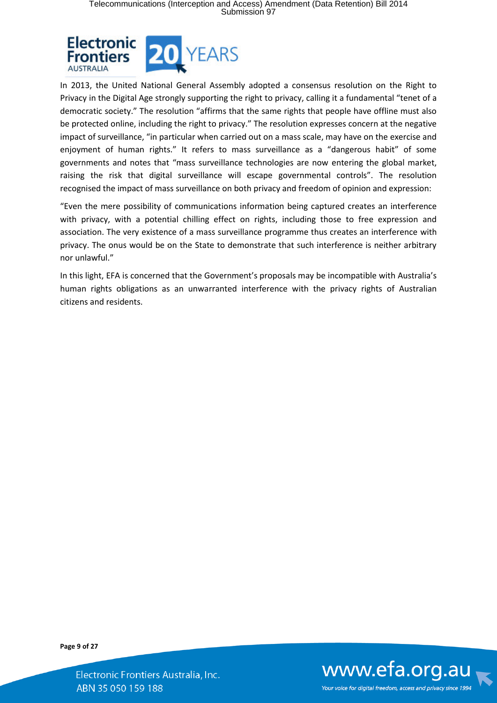

In 2013, the United National General Assembly adopted a consensus resolution on the Right to Privacy in the Digital Age strongly supporting the right to privacy, calling it a fundamental "tenet of a democratic society." The resolution "affirms that the same rights that people have offline must also be protected online, including the right to privacy." The resolution expresses concern at the negative impact of surveillance, "in particular when carried out on a mass scale, may have on the exercise and enjoyment of human rights." It refers to mass surveillance as a "dangerous habit" of some governments and notes that "mass surveillance technologies are now entering the global market, raising the risk that digital surveillance will escape governmental controls". The resolution recognised the impact of mass surveillance on both privacy and freedom of opinion and expression:

"Even the mere possibility of communications information being captured creates an interference with privacy, with a potential chilling effect on rights, including those to free expression and association. The very existence of a mass surveillance programme thus creates an interference with privacy. The onus would be on the State to demonstrate that such interference is neither arbitrary nor unlawful."

In this light, EFA is concerned that the Government's proposals may be incompatible with Australia's human rights obligations as an unwarranted interference with the privacy rights of Australian citizens and residents.

**Page 9 of 27**

Electronic Frontiers Australia, Inc. ABN 35 050 159 188



Your voice for digital freedom, access and privacy since 1994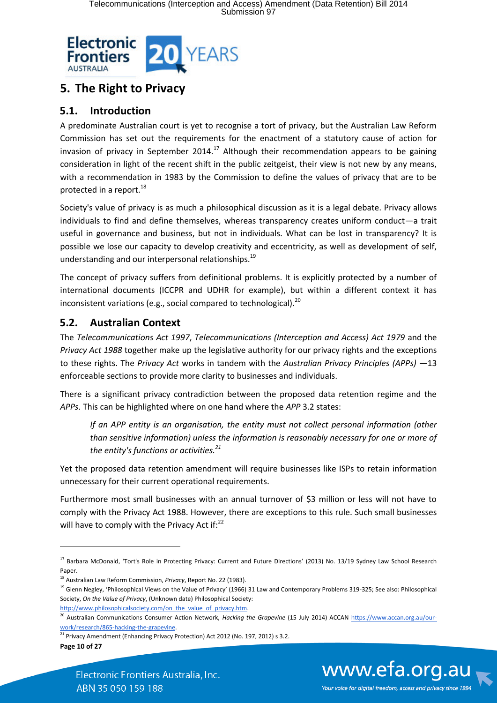

# **5. The Right to Privacy**

### **5.1. Introduction**

A predominate Australian court is yet to recognise a tort of privacy, but the Australian Law Reform Commission has set out the requirements for the enactment of a statutory cause of action for invasion of privacy in September 2014.<sup>17</sup> Although their recommendation appears to be gaining consideration in light of the recent shift in the public zeitgeist, their view is not new by any means, with a recommendation in 1983 by the Commission to define the values of privacy that are to be protected in a report.<sup>18</sup>

Society's value of privacy is as much a philosophical discussion as it is a legal debate. Privacy allows individuals to find and define themselves, whereas transparency creates uniform conduct—a trait useful in governance and business, but not in individuals. What can be lost in transparency? It is possible we lose our capacity to develop creativity and eccentricity, as well as development of self, understanding and our interpersonal relationships.<sup>19</sup>

The concept of privacy suffers from definitional problems. It is explicitly protected by a number of international documents (ICCPR and UDHR for example), but within a different context it has inconsistent variations (e.g., social compared to technological).<sup>20</sup>

## **5.2. Australian Context**

The *Telecommunications Act 1997*, *Telecommunications (Interception and Access) Act 1979* and the *Privacy Act 1988* together make up the legislative authority for our privacy rights and the exceptions to these rights. The *Privacy Act* works in tandem with the *Australian Privacy Principles (APPs)* —13 enforceable sections to provide more clarity to businesses and individuals.

There is a significant privacy contradiction between the proposed data retention regime and the *APPs*. This can be highlighted where on one hand where the *APP* 3.2 states:

*If an APP entity is an organisation, the entity must not collect personal information (other than sensitive information) unless the information is reasonably necessary for one or more of the entity's functions or activities.<sup>21</sup>*

Yet the proposed data retention amendment will require businesses like ISPs to retain information unnecessary for their current operational requirements.

Furthermore most small businesses with an annual turnover of \$3 million or less will not have to comply with the Privacy Act 1988. However, there are exceptions to this rule. Such small businesses will have to comply with the Privacy Act if: $22$ 

http://www.philosophicalsociety.com/on the value of privacy.htm.

**Page 10 of 27**



<sup>&</sup>lt;sup>17</sup> Barbara McDonald, 'Tort's Role in Protecting Privacy: Current and Future Directions' (2013) No. 13/19 Sydney Law School Research Paper.

<sup>18</sup> Australian Law Reform Commission, *Privacy*, Report No. 22 (1983).

<sup>&</sup>lt;sup>19</sup> Glenn Negley, 'Philosophical Views on the Value of Privacy' (1966) 31 Law and Contemporary Problems 319-325; See also: Philosophical Society, *On the Value of Privacy*, (Unknown date) Philosophical Society:

<sup>&</sup>lt;sup>20</sup> Australian Communications Consumer Action Network, *Hacking the Grapevine* (15 July 2014) ACCAN https://www.accan.org.au/ourwork/research/865-hacking-the-grapevine.

 $21$  Privacy Amendment (Enhancing Privacy Protection) Act 2012 (No. 197, 2012) s 3.2.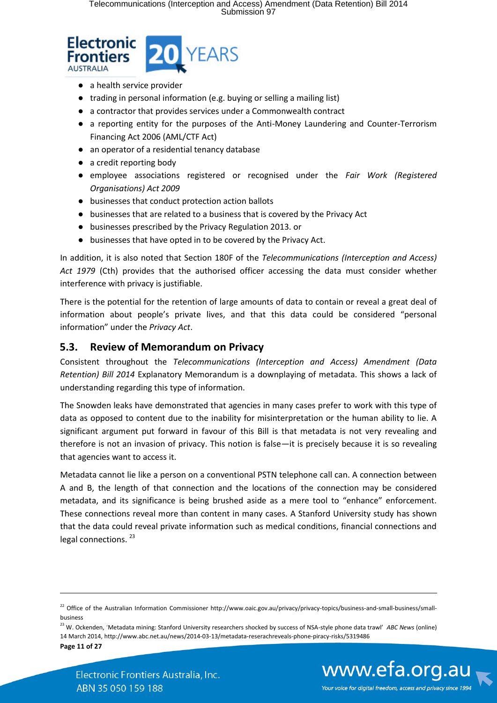

- a health service provider
- trading in personal information (e.g. buying or selling a mailing list)
- a contractor that provides services under a Commonwealth contract
- a reporting entity for the purposes of the Anti-Money Laundering and Counter-Terrorism Financing Act 2006 (AML/CTF Act)
- an operator of a residential tenancy database
- a credit reporting body
- employee associations registered or recognised under the *Fair Work (Registered Organisations) Act 2009*
- businesses that conduct protection action ballots
- businesses that are related to a business that is covered by the Privacy Act
- businesses prescribed by the Privacy Regulation 2013. or
- businesses that have opted in to be covered by the Privacy Act.

In addition, it is also noted that Section 180F of the *Telecommunications (Interception and Access) Act 1979* (Cth) provides that the authorised officer accessing the data must consider whether interference with privacy is justifiable.

There is the potential for the retention of large amounts of data to contain or reveal a great deal of information about people's private lives, and that this data could be considered "personal information" under the *Privacy Act*.

#### **5.3. Review of Memorandum on Privacy**

Consistent throughout the *Telecommunications (Interception and Access) Amendment (Data Retention) Bill 2014* Explanatory Memorandum is a downplaying of metadata. This shows a lack of understanding regarding this type of information.

The Snowden leaks have demonstrated that agencies in many cases prefer to work with this type of data as opposed to content due to the inability for misinterpretation or the human ability to lie. A significant argument put forward in favour of this Bill is that metadata is not very revealing and therefore is not an invasion of privacy. This notion is false—it is precisely because it is so revealing that agencies want to access it.

Metadata cannot lie like a person on a conventional PSTN telephone call can. A connection between A and B, the length of that connection and the locations of the connection may be considered metadata, and its significance is being brushed aside as a mere tool to "enhance" enforcement. These connections reveal more than content in many cases. A Stanford University study has shown that the data could reveal private information such as medical conditions, financial connections and legal connections.<sup>23</sup>

Electronic Frontiers Australia, Inc. ABN 35 050 159 188



<sup>&</sup>lt;sup>22</sup> Office of the Australian Information Commissioner http://www.oaic.gov.au/privacy/privacy-topics/business-and-small-business/smallbusiness

**Page 11 of 27** <sup>23</sup> W. Ockenden, 'Metadata mining: Stanford University researchers shocked by success of NSA-style phone data trawl' *ABC News* (online) 14 March 2014, http://www.abc.net.au/news/2014-03-13/metadata-reserachreveals-phone-piracy-risks/5319486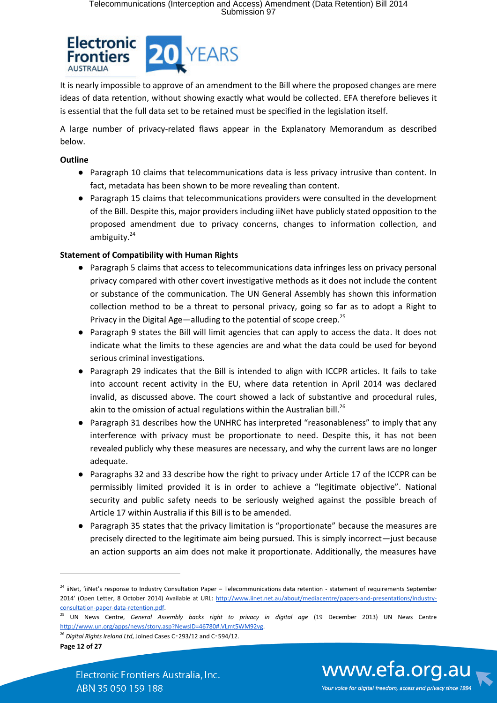

It is nearly impossible to approve of an amendment to the Bill where the proposed changes are mere ideas of data retention, without showing exactly what would be collected. EFA therefore believes it is essential that the full data set to be retained must be specified in the legislation itself.

A large number of privacy-related flaws appear in the Explanatory Memorandum as described below.

#### **Outline**

- Paragraph 10 claims that telecommunications data is less privacy intrusive than content. In fact, metadata has been shown to be more revealing than content.
- Paragraph 15 claims that telecommunications providers were consulted in the development of the Bill. Despite this, major providers including iiNet have publicly stated opposition to the proposed amendment due to privacy concerns, changes to information collection, and ambiguity.<sup>24</sup>

#### **Statement of Compatibility with Human Rights**

- Paragraph 5 claims that access to telecommunications data infringes less on privacy personal privacy compared with other covert investigative methods as it does not include the content or substance of the communication. The UN General Assembly has shown this information collection method to be a threat to personal privacy, going so far as to adopt a Right to Privacy in the Digital Age—alluding to the potential of scope creep.<sup>25</sup>
- Paragraph 9 states the Bill will limit agencies that can apply to access the data. It does not indicate what the limits to these agencies are and what the data could be used for beyond serious criminal investigations.
- Paragraph 29 indicates that the Bill is intended to align with ICCPR articles. It fails to take into account recent activity in the EU, where data retention in April 2014 was declared invalid, as discussed above. The court showed a lack of substantive and procedural rules, akin to the omission of actual regulations within the Australian bill. $^{26}$
- Paragraph 31 describes how the UNHRC has interpreted "reasonableness" to imply that any interference with privacy must be proportionate to need. Despite this, it has not been revealed publicly why these measures are necessary, and why the current laws are no longer adequate.
- Paragraphs 32 and 33 describe how the right to privacy under Article 17 of the ICCPR can be permissibly limited provided it is in order to achieve a "legitimate objective". National security and public safety needs to be seriously weighed against the possible breach of Article 17 within Australia if this Bill is to be amended.
- Paragraph 35 states that the privacy limitation is "proportionate" because the measures are precisely directed to the legitimate aim being pursued. This is simply incorrect—just because an action supports an aim does not make it proportionate. Additionally, the measures have

**Page 12 of 27**

**.** 



<sup>&</sup>lt;sup>24</sup> iiNet, 'iiNet's response to Industry Consultation Paper – Telecommunications data retention - statement of requirements September 2014' (Open Letter, 8 October 2014) Available at URL: http://www.iinet.net.au/about/mediacentre/papers-and-presentations/industryconsultation-paper-data-retention.pdf.

<sup>25</sup> UN News Centre, *General Assembly backs right to privacy in digital age* (19 December 2013) UN News Centre http://www.un.org/apps/news/story.asp?NewsID=46780#.VLmt5WM92vg.

<sup>26</sup> *Digital Rights Ireland Ltd*, Joined Cases C‑293/12 and C‑594/12.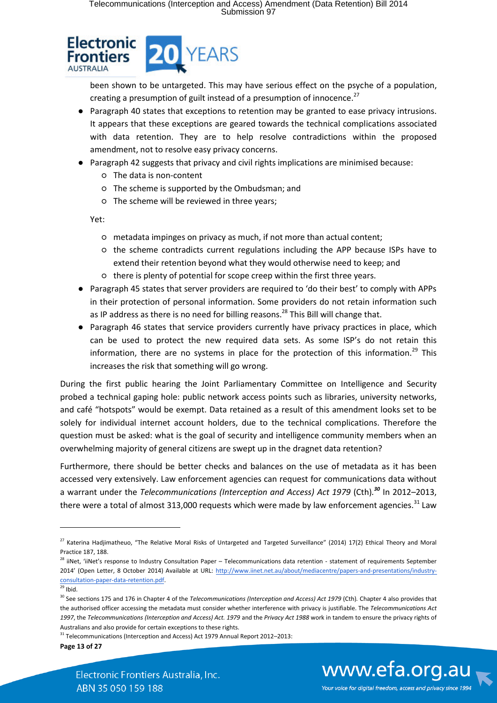

been shown to be untargeted. This may have serious effect on the psyche of a population, creating a presumption of guilt instead of a presumption of innocence. $^{27}$ 

- Paragraph 40 states that exceptions to retention may be granted to ease privacy intrusions. It appears that these exceptions are geared towards the technical complications associated with data retention. They are to help resolve contradictions within the proposed amendment, not to resolve easy privacy concerns.
- Paragraph 42 suggests that privacy and civil rights implications are minimised because:
	- The data is non-content
	- The scheme is supported by the Ombudsman; and
	- The scheme will be reviewed in three years;

Yet:

- metadata impinges on privacy as much, if not more than actual content;
- the scheme contradicts current regulations including the APP because ISPs have to extend their retention beyond what they would otherwise need to keep; and
- there is plenty of potential for scope creep within the first three years.
- Paragraph 45 states that server providers are required to 'do their best' to comply with APPs in their protection of personal information. Some providers do not retain information such as IP address as there is no need for billing reasons.<sup>28</sup> This Bill will change that.
- Paragraph 46 states that service providers currently have privacy practices in place, which can be used to protect the new required data sets. As some ISP's do not retain this information, there are no systems in place for the protection of this information.<sup>29</sup> This increases the risk that something will go wrong.

During the first public hearing the Joint Parliamentary Committee on Intelligence and Security probed a technical gaping hole: public network access points such as libraries, university networks, and café "hotspots" would be exempt. Data retained as a result of this amendment looks set to be solely for individual internet account holders, due to the technical complications. Therefore the question must be asked: what is the goal of security and intelligence community members when an overwhelming majority of general citizens are swept up in the dragnet data retention?

Furthermore, there should be better checks and balances on the use of metadata as it has been accessed very extensively. Law enforcement agencies can request for communications data without a warrant under the *Telecommunications (Interception and Access) Act 1979* (Cth)*. <sup>30</sup>* In 2012–2013, there were a total of almost 313,000 requests which were made by law enforcement agencies.<sup>31</sup> Law

**.** 

**Page 13 of 27**



<sup>&</sup>lt;sup>27</sup> Katerina Hadjimatheuo, "The Relative Moral Risks of Untargeted and Targeted Surveillance" (2014) 17(2) Ethical Theory and Moral Practice 187, 188.

<sup>&</sup>lt;sup>28</sup> iiNet, 'iiNet's response to Industry Consultation Paper – Telecommunications data retention - statement of requirements September 2014' (Open Letter, 8 October 2014) Available at URL: http://www.iinet.net.au/about/mediacentre/papers-and-presentations/industryconsultation-paper-data-retention.pdf.

 $29$  Ibid.

<sup>&</sup>lt;sup>30</sup> See sections 175 and 176 in Chapter 4 of the *Telecommunications (Interception and Access) Act 1979* (Cth). Chapter 4 also provides that the authorised officer accessing the metadata must consider whether interference with privacy is justifiable. The *Telecommunications Act*  1997, the *Telecommunications (Interception and Access) Act. 1979 and the <i>Privacy Act 1988* work in tandem to ensure the privacy rights of Australians and also provide for certain exceptions to these rights.

<sup>&</sup>lt;sup>31</sup> Telecommunications (Interception and Access) Act 1979 Annual Report 2012–2013: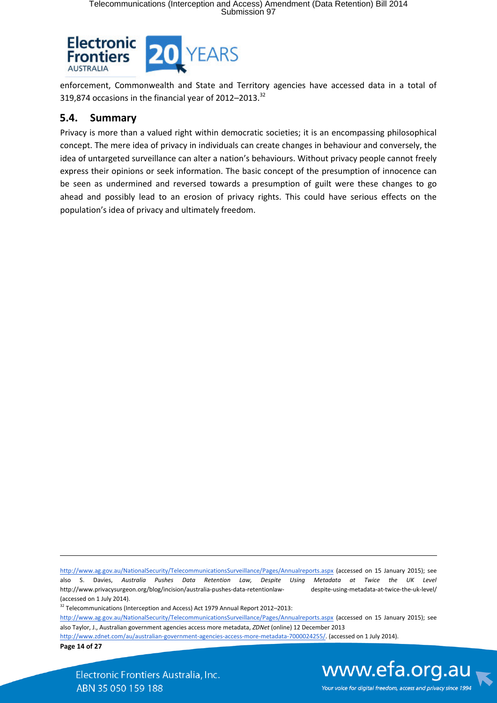

enforcement, Commonwealth and State and Territory agencies have accessed data in a total of 319,874 occasions in the financial year of 2012-2013.<sup>32</sup>

#### **5.4. Summary**

Privacy is more than a valued right within democratic societies; it is an encompassing philosophical concept. The mere idea of privacy in individuals can create changes in behaviour and conversely, the idea of untargeted surveillance can alter a nation's behaviours. Without privacy people cannot freely express their opinions or seek information. The basic concept of the presumption of innocence can be seen as undermined and reversed towards a presumption of guilt were these changes to go ahead and possibly lead to an erosion of privacy rights. This could have serious effects on the population's idea of privacy and ultimately freedom.

http://www.ag.gov.au/NationalSecurity/TelecommunicationsSurveillance/Pages/Annualreports.aspx (accessed on 15 January 2015); see also S. Davies, Australia Pushes Data Retention Law, Despite Using Metadata at Twice the UK Level http://www.privacysurgeon.org/blog/incision/australia-pushes-data-retentionlaw- despite-using-metadata-at-twice-the-uk-level/ (accessed on 1 July 2014).

<sup>32</sup> Telecommunications (Interception and Access) Act 1979 Annual Report 2012–2013:

http://www.ag.gov.au/NationalSecurity/TelecommunicationsSurveillance/Pages/Annualreports.aspx (accessed on 15 January 2015); see also Taylor, J., Australian government agencies access more metadata, *ZDNet* (online) 12 December 2013

http://www.zdnet.com/au/australian-government-agencies-access-more-metadata-7000024255/. (accessed on 1 July 2014).

**Page 14 of 27**

**.** 

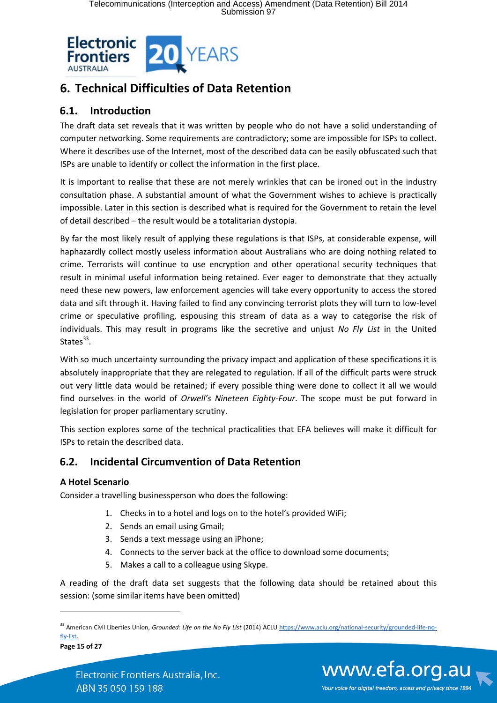

# **6. Technical Difficulties of Data Retention**

## **6.1. Introduction**

The draft data set reveals that it was written by people who do not have a solid understanding of computer networking. Some requirements are contradictory; some are impossible for ISPs to collect. Where it describes use of the Internet, most of the described data can be easily obfuscated such that ISPs are unable to identify or collect the information in the first place.

It is important to realise that these are not merely wrinkles that can be ironed out in the industry consultation phase. A substantial amount of what the Government wishes to achieve is practically impossible. Later in this section is described what is required for the Government to retain the level of detail described – the result would be a totalitarian dystopia.

By far the most likely result of applying these regulations is that ISPs, at considerable expense, will haphazardly collect mostly useless information about Australians who are doing nothing related to crime. Terrorists will continue to use encryption and other operational security techniques that result in minimal useful information being retained. Ever eager to demonstrate that they actually need these new powers, law enforcement agencies will take every opportunity to access the stored data and sift through it. Having failed to find any convincing terrorist plots they will turn to low-level crime or speculative profiling, espousing this stream of data as a way to categorise the risk of individuals. This may result in programs like the secretive and unjust *No Fly List* in the United States<sup>33</sup>.

With so much uncertainty surrounding the privacy impact and application of these specifications it is absolutely inappropriate that they are relegated to regulation. If all of the difficult parts were struck out very little data would be retained; if every possible thing were done to collect it all we would find ourselves in the world of *Orwell's Nineteen Eighty-Four*. The scope must be put forward in legislation for proper parliamentary scrutiny.

This section explores some of the technical practicalities that EFA believes will make it difficult for ISPs to retain the described data.

## **6.2. Incidental Circumvention of Data Retention**

#### **A Hotel Scenario**

Consider a travelling businessperson who does the following:

- 1. Checks in to a hotel and logs on to the hotel's provided WiFi;
- 2. Sends an email using Gmail;
- 3. Sends a text message using an iPhone;
- 4. Connects to the server back at the office to download some documents;
- 5. Makes a call to a colleague using Skype.

A reading of the draft data set suggests that the following data should be retained about this session: (some similar items have been omitted)

**Page 15 of 27**

 $\overline{a}$ 



<sup>&</sup>lt;sup>33</sup> American Civil Liberties Union, *Grounded: Life on the No Fly List* (2014) ACLU https://www.aclu.org/national-security/grounded-life-nofly-list.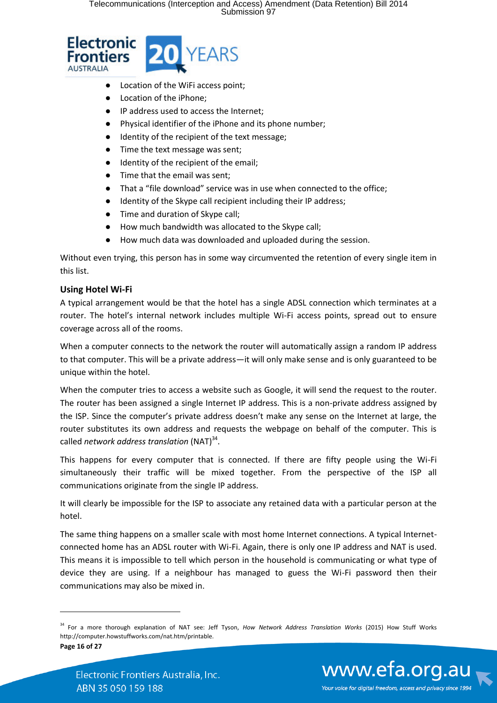

- Location of the WiFi access point;
- Location of the iPhone;
- IP address used to access the Internet;
- Physical identifier of the iPhone and its phone number;
- Identity of the recipient of the text message;
- Time the text message was sent;
- Identity of the recipient of the email;
- Time that the email was sent;
- That a "file download" service was in use when connected to the office;
- Identity of the Skype call recipient including their IP address;
- Time and duration of Skype call;
- How much bandwidth was allocated to the Skype call;
- How much data was downloaded and uploaded during the session.

Without even trying, this person has in some way circumvented the retention of every single item in this list.

#### **Using Hotel Wi-Fi**

A typical arrangement would be that the hotel has a single ADSL connection which terminates at a router. The hotel's internal network includes multiple Wi-Fi access points, spread out to ensure coverage across all of the rooms.

When a computer connects to the network the router will automatically assign a random IP address to that computer. This will be a private address—it will only make sense and is only guaranteed to be unique within the hotel.

When the computer tries to access a website such as Google, it will send the request to the router. The router has been assigned a single Internet IP address. This is a non-private address assigned by the ISP. Since the computer's private address doesn't make any sense on the Internet at large, the router substitutes its own address and requests the webpage on behalf of the computer. This is called *network address translation* (NAT)<sup>34</sup>.

This happens for every computer that is connected. If there are fifty people using the Wi-Fi simultaneously their traffic will be mixed together. From the perspective of the ISP all communications originate from the single IP address.

It will clearly be impossible for the ISP to associate any retained data with a particular person at the hotel.

The same thing happens on a smaller scale with most home Internet connections. A typical Internetconnected home has an ADSL router with Wi-Fi. Again, there is only one IP address and NAT is used. This means it is impossible to tell which person in the household is communicating or what type of device they are using. If a neighbour has managed to guess the Wi-Fi password then their communications may also be mixed in.

**Page 16 of 27**

 $\overline{a}$ 



<sup>34</sup> For a more thorough explanation of NAT see: Jeff Tyson, *How Network Address Translation Works* (2015) How Stuff Works http://computer.howstuffworks.com/nat.htm/printable.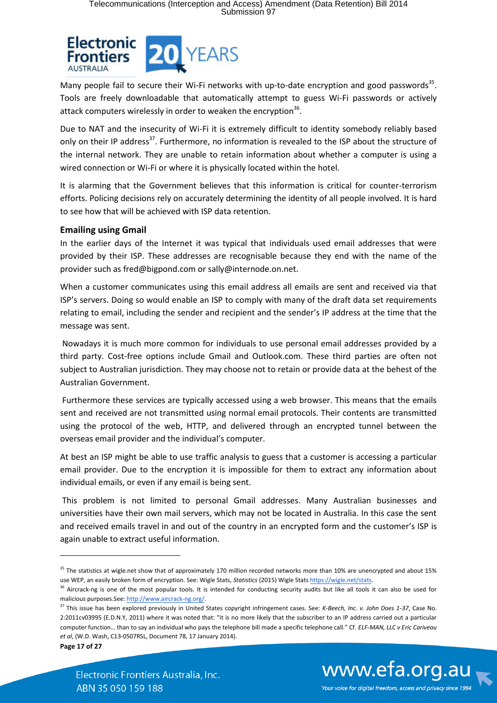

Many people fail to secure their Wi-Fi networks with up-to-date encryption and good passwords<sup>35</sup>. Tools are freely downloadable that automatically attempt to guess Wi-Fi passwords or actively attack computers wirelessly in order to weaken the encryption<sup>36</sup>.

Due to NAT and the insecurity of Wi-Fi it is extremely difficult to identity somebody reliably based only on their IP address<sup>37</sup>. Furthermore, no information is revealed to the ISP about the structure of the internal network. They are unable to retain information about whether a computer is using a wired connection or Wi-Fi or where it is physically located within the hotel.

It is alarming that the Government believes that this information is critical for counter-terrorism efforts. Policing decisions rely on accurately determining the identity of all people involved. It is hard to see how that will be achieved with ISP data retention.

#### **Emailing using Gmail**

In the earlier days of the Internet it was typical that individuals used email addresses that were provided by their ISP. These addresses are recognisable because they end with the name of the provider such as fred@bigpond.com or sally@internode.on.net.

When a customer communicates using this email address all emails are sent and received via that ISP's servers. Doing so would enable an ISP to comply with many of the draft data set requirements relating to email, including the sender and recipient and the sender's IP address at the time that the message was sent.

 Nowadays it is much more common for individuals to use personal email addresses provided by a third party. Cost-free options include Gmail and Outlook.com. These third parties are often not subject to Australian jurisdiction. They may choose not to retain or provide data at the behest of the Australian Government.

 Furthermore these services are typically accessed using a web browser. This means that the emails sent and received are not transmitted using normal email protocols. Their contents are transmitted using the protocol of the web, HTTP, and delivered through an encrypted tunnel between the overseas email provider and the individual's computer.

At best an ISP might be able to use traffic analysis to guess that a customer is accessing a particular email provider. Due to the encryption it is impossible for them to extract any information about individual emails, or even if any email is being sent.

 This problem is not limited to personal Gmail addresses. Many Australian businesses and universities have their own mail servers, which may not be located in Australia. In this case the sent and received emails travel in and out of the country in an encrypted form and the customer's ISP is again unable to extract useful information.

**Page 17 of 27**

**.** 



Your voice for digital freedom, access and privacy since 1994

<sup>&</sup>lt;sup>35</sup> The statistics at wigle.net show that of approximately 170 million recorded networks more than 10% are unencrypted and about 15% use WEP, an easily broken form of encryption. See: Wigle Stats, *Statistics* (2015) Wigle Stats https://wigle.net/stats.

<sup>&</sup>lt;sup>36</sup> Aircrack-ng is one of the most popular tools. It is intended for conducting security audits but like all tools it can also be used for malicious purposes.See: http://www.aircrack-ng.org/.

<sup>37</sup> This issue has been explored previously in United States copyright infringement cases. See: *K-Beech, Inc. v. John Does 1-37*, Case No. 2:2011cv03995 (E.D.N.Y, 2011) where it was noted that: "it is no more likely that the subscriber to an IP address carried out a particular computer function… than to say an individual who pays the telephone bill made a specific telephone call." Cf. *ELF-MAN, LLC v Eric Cariveau et al*, (W.D. Wash, C13-0507RSL, Document 78, 17 January 2014).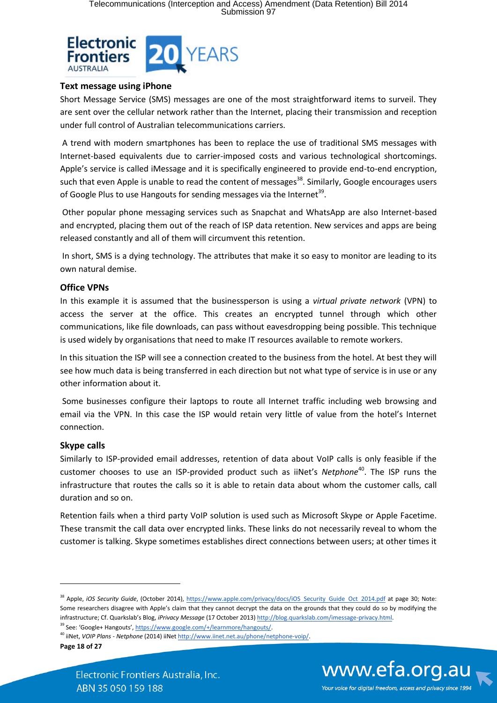

#### **Text message using iPhone**

Short Message Service (SMS) messages are one of the most straightforward items to surveil. They are sent over the cellular network rather than the Internet, placing their transmission and reception under full control of Australian telecommunications carriers.

 A trend with modern smartphones has been to replace the use of traditional SMS messages with Internet-based equivalents due to carrier-imposed costs and various technological shortcomings. Apple's service is called iMessage and it is specifically engineered to provide end-to-end encryption, such that even Apple is unable to read the content of messages<sup>38</sup>. Similarly, Google encourages users of Google Plus to use Hangouts for sending messages via the Internet<sup>39</sup>.

 Other popular phone messaging services such as Snapchat and WhatsApp are also Internet-based and encrypted, placing them out of the reach of ISP data retention. New services and apps are being released constantly and all of them will circumvent this retention.

 In short, SMS is a dying technology. The attributes that make it so easy to monitor are leading to its own natural demise.

#### **Office VPNs**

In this example it is assumed that the businessperson is using a *virtual private network* (VPN) to access the server at the office. This creates an encrypted tunnel through which other communications, like file downloads, can pass without eavesdropping being possible. This technique is used widely by organisations that need to make IT resources available to remote workers.

In this situation the ISP will see a connection created to the business from the hotel. At best they will see how much data is being transferred in each direction but not what type of service is in use or any other information about it.

 Some businesses configure their laptops to route all Internet traffic including web browsing and email via the VPN. In this case the ISP would retain very little of value from the hotel's Internet connection.

#### **Skype calls**

Similarly to ISP-provided email addresses, retention of data about VoIP calls is only feasible if the customer chooses to use an ISP-provided product such as iiNet's *Netphone*<sup>40</sup>. The ISP runs the infrastructure that routes the calls so it is able to retain data about whom the customer calls, call duration and so on.

Retention fails when a third party VoIP solution is used such as Microsoft Skype or Apple Facetime. These transmit the call data over encrypted links. These links do not necessarily reveal to whom the customer is talking. Skype sometimes establishes direct connections between users; at other times it



<sup>&</sup>lt;sup>38</sup> Apple, *iOS Security Guide*, (October 2014), https://www.apple.com/privacy/docs/iOS Security Guide Oct 2014.pdf at page 30; Note: Some researchers disagree with Apple's claim that they cannot decrypt the data on the grounds that they could do so by modifying the infrastructure; Cf. Quarkslab's Blog, *iPrivacy Message* (17 October 2013) http://blog.quarkslab.com/imessage-privacy.html.

<sup>&</sup>lt;sup>39</sup> See: 'Google+ Hangouts', https://www.google.com/+/learnmore/hangouts/.

<sup>40</sup> iiNet, *VOIP Plans - Netphone* (2014) iiNet http://www.iinet.net.au/phone/netphone-voip/.

**Page 18 of 27**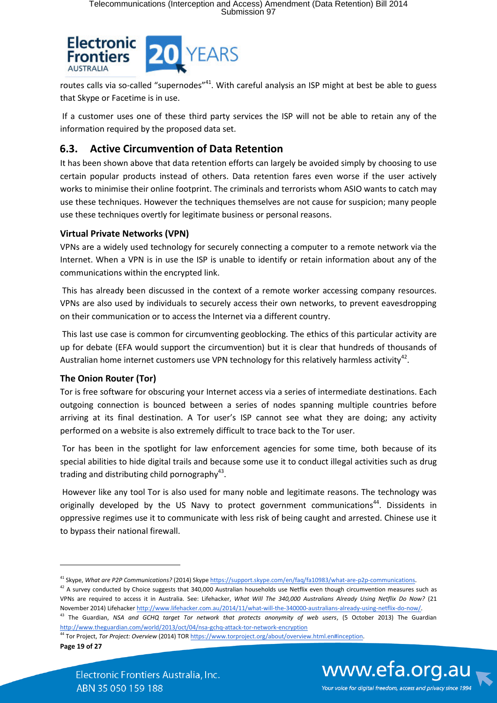

routes calls via so-called "supernodes"<sup>41</sup>. With careful analysis an ISP might at best be able to guess that Skype or Facetime is in use.

 If a customer uses one of these third party services the ISP will not be able to retain any of the information required by the proposed data set.

## **6.3. Active Circumvention of Data Retention**

It has been shown above that data retention efforts can largely be avoided simply by choosing to use certain popular products instead of others. Data retention fares even worse if the user actively works to minimise their online footprint. The criminals and terrorists whom ASIO wants to catch may use these techniques. However the techniques themselves are not cause for suspicion; many people use these techniques overtly for legitimate business or personal reasons.

#### **Virtual Private Networks (VPN)**

VPNs are a widely used technology for securely connecting a computer to a remote network via the Internet. When a VPN is in use the ISP is unable to identify or retain information about any of the communications within the encrypted link.

 This has already been discussed in the context of a remote worker accessing company resources. VPNs are also used by individuals to securely access their own networks, to prevent eavesdropping on their communication or to access the Internet via a different country.

 This last use case is common for circumventing geoblocking. The ethics of this particular activity are up for debate (EFA would support the circumvention) but it is clear that hundreds of thousands of Australian home internet customers use VPN technology for this relatively harmless activity<sup>42</sup>.

#### **The Onion Router (Tor)**

Tor is free software for obscuring your Internet access via a series of intermediate destinations. Each outgoing connection is bounced between a series of nodes spanning multiple countries before arriving at its final destination. A Tor user's ISP cannot see what they are doing; any activity performed on a website is also extremely difficult to trace back to the Tor user.

 Tor has been in the spotlight for law enforcement agencies for some time, both because of its special abilities to hide digital trails and because some use it to conduct illegal activities such as drug trading and distributing child pornography $43$ .

 However like any tool Tor is also used for many noble and legitimate reasons. The technology was originally developed by the US Navy to protect government communications<sup>44</sup>. Dissidents in oppressive regimes use it to communicate with less risk of being caught and arrested. Chinese use it to bypass their national firewall.

**Page 19 of 27**

**.** 



Your voice for digital freedom, access and privacy since 1994

<sup>&</sup>lt;sup>41</sup> Skype, What are P2P Communications? (2014) Skype https://support.skype.com/en/faq/fa10983/what-are-p2p-communications.

 $42$  A survey conducted by Choice suggests that 340,000 Australian households use Netflix even though circumvention measures such as VPNs are required to access it in Australia. See: Lifehacker, *What Will The 340,000 Australians Already Using Netflix Do Now?* (21 November 2014) Lifehacker http://www.lifehacker.com.au/2014/11/what-will-the-340000-australians-already-using-netflix-do-now/. <sup>43</sup> The Guardian, *NSA and GCHQ target Tor network that protects anonymity of web users*, (5 October 2013) The Guardian http://www.theguardian.com/world/2013/oct/04/nsa-gchq-attack-tor-network-encryption

<sup>44</sup> Tor Project, *Tor Project: Overview* (2014) TOR https://www.torproject.org/about/overview.html.en#inception.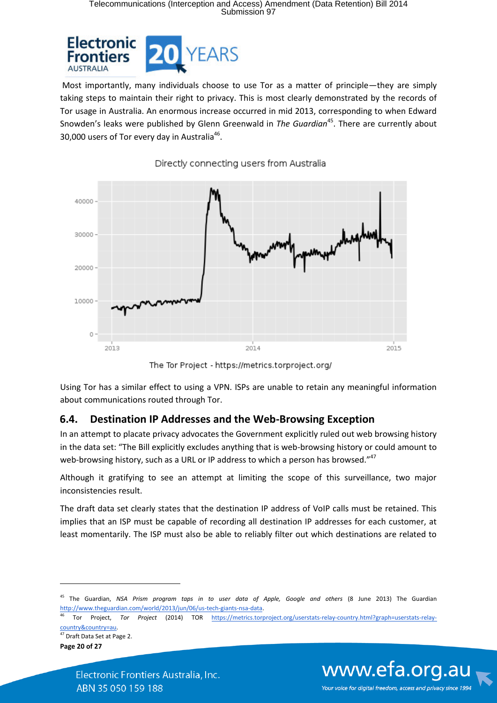# Telecommunications (Interception and Access) Amendment (Data Retention) Bill 2014 Submission 97



 Most importantly, many individuals choose to use Tor as a matter of principle—they are simply taking steps to maintain their right to privacy. This is most clearly demonstrated by the records of Tor usage in Australia. An enormous increase occurred in mid 2013, corresponding to when Edward Snowden's leaks were published by Glenn Greenwald in *The Guardian*<sup>45</sup>. There are currently about 30,000 users of Tor every day in Australia<sup>46</sup>.



Directly connecting users from Australia

The Tor Project - https://metrics.torproject.org/

Using Tor has a similar effect to using a VPN. ISPs are unable to retain any meaningful information about communications routed through Tor.

#### **6.4. Destination IP Addresses and the Web-Browsing Exception**

In an attempt to placate privacy advocates the Government explicitly ruled out web browsing history in the data set: "The Bill explicitly excludes anything that is web-browsing history or could amount to web-browsing history, such as a URL or IP address to which a person has browsed."<sup>47</sup>

Although it gratifying to see an attempt at limiting the scope of this surveillance, two major inconsistencies result.

The draft data set clearly states that the destination IP address of VoIP calls must be retained. This implies that an ISP must be capable of recording all destination IP addresses for each customer, at least momentarily. The ISP must also be able to reliably filter out which destinations are related to

**Page 20 of 27** <sup>47</sup> Draft Data Set at Page 2.

**.** 



<sup>&</sup>lt;sup>45</sup> The Guardian, NSA Prism program taps in to user data of Apple, Google and others (8 June 2013) The Guardian http://www.theguardian.com/world/2013/jun/06/us-tech-giants-nsa-data.

<sup>46</sup> Tor Project, *Tor Project* (2014) TOR https://metrics.torproject.org/userstats-relay-country.html?graph=userstats-relaycountry&country=au.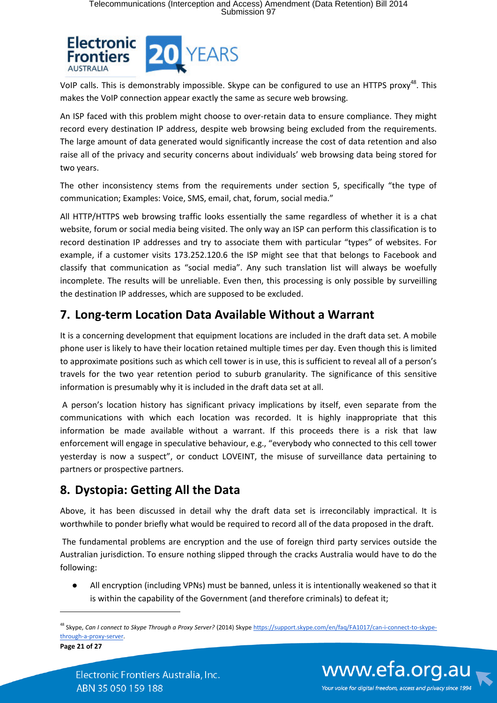

VoIP calls. This is demonstrably impossible. Skype can be configured to use an HTTPS proxy<sup>48</sup>. This makes the VoIP connection appear exactly the same as secure web browsing.

An ISP faced with this problem might choose to over-retain data to ensure compliance. They might record every destination IP address, despite web browsing being excluded from the requirements. The large amount of data generated would significantly increase the cost of data retention and also raise all of the privacy and security concerns about individuals' web browsing data being stored for two years.

The other inconsistency stems from the requirements under section 5, specifically "the type of communication; Examples: Voice, SMS, email, chat, forum, social media."

All HTTP/HTTPS web browsing traffic looks essentially the same regardless of whether it is a chat website, forum or social media being visited. The only way an ISP can perform this classification is to record destination IP addresses and try to associate them with particular "types" of websites. For example, if a customer visits 173.252.120.6 the ISP might see that that belongs to Facebook and classify that communication as "social media". Any such translation list will always be woefully incomplete. The results will be unreliable. Even then, this processing is only possible by surveilling the destination IP addresses, which are supposed to be excluded.

# **7. Long-term Location Data Available Without a Warrant**

It is a concerning development that equipment locations are included in the draft data set. A mobile phone user is likely to have their location retained multiple times per day. Even though this is limited to approximate positions such as which cell tower is in use, this is sufficient to reveal all of a person's travels for the two year retention period to suburb granularity. The significance of this sensitive information is presumably why it is included in the draft data set at all.

A person's location history has significant privacy implications by itself, even separate from the communications with which each location was recorded. It is highly inappropriate that this information be made available without a warrant. If this proceeds there is a risk that law enforcement will engage in speculative behaviour, e.g., "everybody who connected to this cell tower yesterday is now a suspect", or conduct LOVEINT, the misuse of surveillance data pertaining to partners or prospective partners.

# **8. Dystopia: Getting All the Data**

Above, it has been discussed in detail why the draft data set is irreconcilably impractical. It is worthwhile to ponder briefly what would be required to record all of the data proposed in the draft.

 The fundamental problems are encryption and the use of foreign third party services outside the Australian jurisdiction. To ensure nothing slipped through the cracks Australia would have to do the following:

All encryption (including VPNs) must be banned, unless it is intentionally weakened so that it is within the capability of the Government (and therefore criminals) to defeat it;

**Page 21 of 27**

 $\overline{a}$ 



<sup>48</sup> Skype, *Can I connect to Skype Through a Proxy Server?* (2014) Skype https://support.skype.com/en/faq/FA1017/can-i-connect-to-skypethrough-a-proxy-server.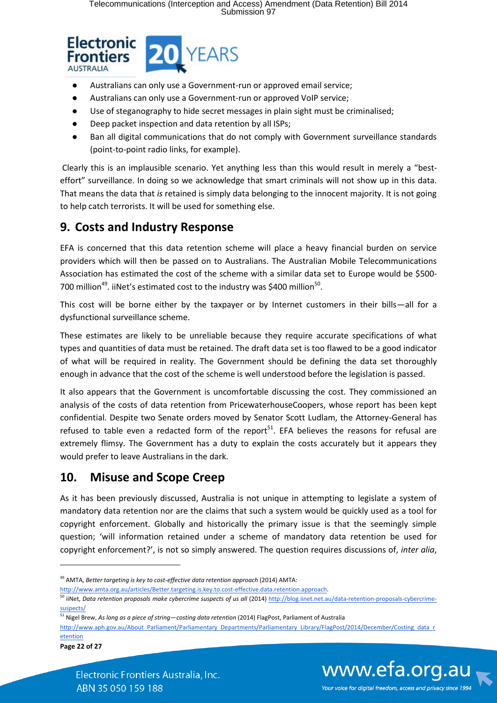

- Australians can only use a Government-run or approved email service;
- Australians can only use a Government-run or approved VoIP service;
- Use of steganography to hide secret messages in plain sight must be criminalised;
- Deep packet inspection and data retention by all ISPs;
- Ban all digital communications that do not comply with Government surveillance standards (point-to-point radio links, for example).

 Clearly this is an implausible scenario. Yet anything less than this would result in merely a "besteffort" surveillance. In doing so we acknowledge that smart criminals will not show up in this data. That means the data that *is* retained is simply data belonging to the innocent majority. It is not going to help catch terrorists. It will be used for something else.

# **9. Costs and Industry Response**

EFA is concerned that this data retention scheme will place a heavy financial burden on service providers which will then be passed on to Australians. The Australian Mobile Telecommunications Association has estimated the cost of the scheme with a similar data set to Europe would be \$500- 700 million<sup>49</sup>. iiNet's estimated cost to the industry was \$400 million<sup>50</sup>.

This cost will be borne either by the taxpayer or by Internet customers in their bills—all for a dysfunctional surveillance scheme.

These estimates are likely to be unreliable because they require accurate specifications of what types and quantities of data must be retained. The draft data set is too flawed to be a good indicator of what will be required in reality. The Government should be defining the data set thoroughly enough in advance that the cost of the scheme is well understood before the legislation is passed.

It also appears that the Government is uncomfortable discussing the cost. They commissioned an analysis of the costs of data retention from PricewaterhouseCoopers, whose report has been kept confidential. Despite two Senate orders moved by Senator Scott Ludlam, the Attorney-General has refused to table even a redacted form of the report $51$ . EFA believes the reasons for refusal are extremely flimsy. The Government has a duty to explain the costs accurately but it appears they would prefer to leave Australians in the dark.

# **10. Misuse and Scope Creep**

As it has been previously discussed, Australia is not unique in attempting to legislate a system of mandatory data retention nor are the claims that such a system would be quickly used as a tool for copyright enforcement. Globally and historically the primary issue is that the seemingly simple question; 'will information retained under a scheme of mandatory data retention be used for copyright enforcement?', is not so simply answered. The question requires discussions of, *inter alia*,



<sup>49</sup> AMTA, *Better targeting is key to cost-effective data retention approach* (2014) AMTA:

http://www.amta.org.au/articles/Better.targeting.is.key.to.cost-effective.data.retention.approach.

<sup>&</sup>lt;sup>50</sup> iiNet, Data retention proposals make cybercrime suspects of us all (2014) http://blog.iinet.net.au/data-retention-proposals-cybercrimesuspects/

<sup>51</sup> Nigel Brew, *As long as a piece of string—costing data retention* (2014) FlagPost, Parliament of Australia

http://www.aph.gov.au/About Parliament/Parliamentary Departments/Parliamentary Library/FlagPost/2014/December/Costing data r etention

**Page 22 of 27**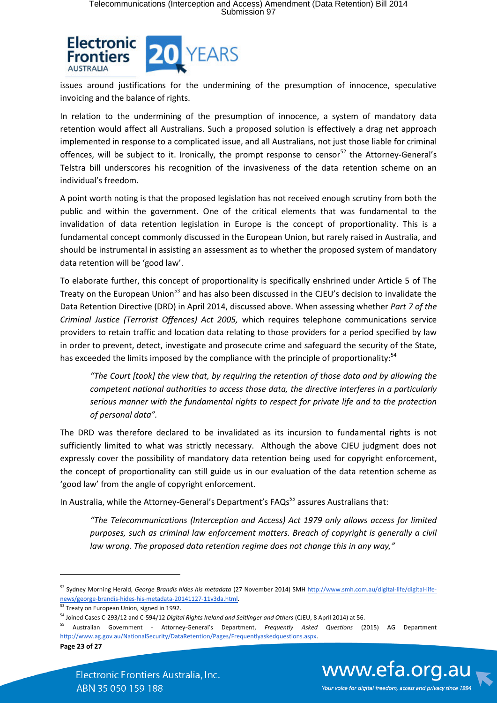

issues around justifications for the undermining of the presumption of innocence, speculative invoicing and the balance of rights.

In relation to the undermining of the presumption of innocence, a system of mandatory data retention would affect all Australians. Such a proposed solution is effectively a drag net approach implemented in response to a complicated issue, and all Australians, not just those liable for criminal offences, will be subject to it. Ironically, the prompt response to censor<sup>52</sup> the Attorney-General's Telstra bill underscores his recognition of the invasiveness of the data retention scheme on an individual's freedom.

A point worth noting is that the proposed legislation has not received enough scrutiny from both the public and within the government. One of the critical elements that was fundamental to the invalidation of data retention legislation in Europe is the concept of proportionality. This is a fundamental concept commonly discussed in the European Union, but rarely raised in Australia, and should be instrumental in assisting an assessment as to whether the proposed system of mandatory data retention will be 'good law'.

To elaborate further, this concept of proportionality is specifically enshrined under Article 5 of The Treaty on the European Union<sup>53</sup> and has also been discussed in the CJEU's decision to invalidate the Data Retention Directive (DRD) in April 2014, discussed above. When assessing whether *Part 7 of the Criminal Justice (Terrorist Offences) Act 2005,* which requires telephone communications service providers to retain traffic and location data relating to those providers for a period specified by law in order to prevent, detect, investigate and prosecute crime and safeguard the security of the State, has exceeded the limits imposed by the compliance with the principle of proportionality:<sup>54</sup>

*"The Court [took] the view that, by requiring the retention of those data and by allowing the competent national authorities to access those data, the directive interferes in a particularly serious manner with the fundamental rights to respect for private life and to the protection of personal data".*

The DRD was therefore declared to be invalidated as its incursion to fundamental rights is not sufficiently limited to what was strictly necessary. Although the above CJEU judgment does not expressly cover the possibility of mandatory data retention being used for copyright enforcement, the concept of proportionality can still guide us in our evaluation of the data retention scheme as 'good law' from the angle of copyright enforcement.

In Australia, while the Attorney-General's Department's FAQs<sup>55</sup> assures Australians that:

*"The Telecommunications (Interception and Access) Act 1979 only allows access for limited purposes, such as criminal law enforcement matters. Breach of copyright is generally a civil law wrong. The proposed data retention regime does not change this in any way,"*

**Page 23 of 27**

 $\overline{a}$ 



<sup>52</sup> Sydney Morning Herald, *George Brandis hides his metadata* (27 November 2014) SMH http://www.smh.com.au/digital-life/digital-lifenews/george-brandis-hides-his-metadata-20141127-11v3da.html.

<sup>53</sup> Treaty on European Union, signed in 1992.

<sup>54</sup> Joined Cases C-293/12 and C-594/12 *Digital Rights Ireland and Seitlinger and Others* (CJEU, 8 April 2014) at 56.

<sup>55</sup> Australian Government - Attorney-General's Department, *Frequently Asked Questions* (2015) AG Department http://www.ag.gov.au/NationalSecurity/DataRetention/Pages/Frequentlyaskedquestions.aspx.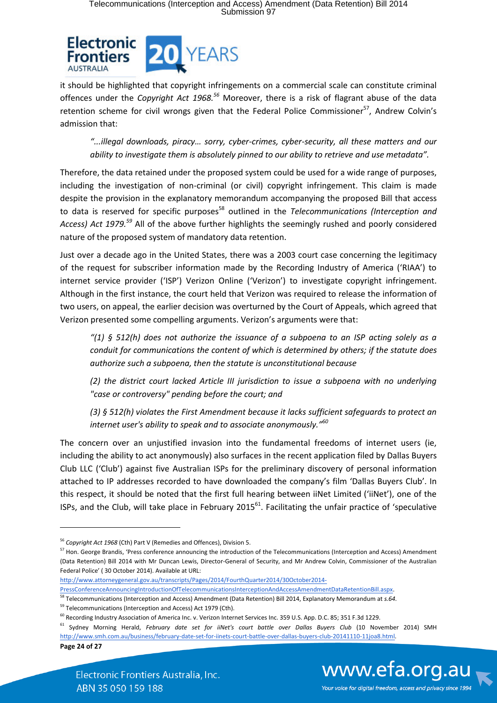

it should be highlighted that copyright infringements on a commercial scale can constitute criminal offences under the *Copyright Act 1968.<sup>56</sup>* Moreover, there is a risk of flagrant abuse of the data retention scheme for civil wrongs given that the Federal Police Commissioner<sup>57</sup>, Andrew Colvin's admission that:

*"...illegal downloads, piracy… sorry, cyber-crimes, cyber-security, all these matters and our ability to investigate them is absolutely pinned to our ability to retrieve and use metadata".*

Therefore, the data retained under the proposed system could be used for a wide range of purposes, including the investigation of non-criminal (or civil) copyright infringement. This claim is made despite the provision in the explanatory memorandum accompanying the proposed Bill that access to data is reserved for specific purposes<sup>58</sup> outlined in the *Telecommunications (Interception and Access) Act 1979.<sup>59</sup>* All of the above further highlights the seemingly rushed and poorly considered nature of the proposed system of mandatory data retention.

Just over a decade ago in the United States, there was a 2003 court case concerning the legitimacy of the request for subscriber information made by the Recording Industry of America ('RIAA') to internet service provider ('ISP') Verizon Online ('Verizon') to investigate copyright infringement. Although in the first instance, the court held that Verizon was required to release the information of two users, on appeal, the earlier decision was overturned by the Court of Appeals, which agreed that Verizon presented some compelling arguments. Verizon's arguments were that:

*"(1) § 512(h) does not authorize the issuance of a subpoena to an ISP acting solely as a conduit for communications the content of which is determined by others; if the statute does authorize such a subpoena, then the statute is unconstitutional because* 

*(2) the district court lacked Article III jurisdiction to issue a subpoena with no underlying "case or controversy" pending before the court; and* 

*(3) § 512(h) violates the First Amendment because it lacks sufficient safeguards to protect an internet user's ability to speak and to associate anonymously."<sup>60</sup>*

The concern over an unjustified invasion into the fundamental freedoms of internet users (ie, including the ability to act anonymously) also surfaces in the recent application filed by Dallas Buyers Club LLC ('Club') against five Australian ISPs for the preliminary discovery of personal information attached to IP addresses recorded to have downloaded the company's film 'Dallas Buyers Club'. In this respect, it should be noted that the first full hearing between iiNet Limited ('iiNet'), one of the ISPs, and the Club, will take place in February 2015 $^{61}$ . Facilitating the unfair practice of 'speculative

http://www.attorneygeneral.gov.au/transcripts/Pages/2014/FourthQuarter2014/30October2014-

PressConferenceAnnouncingIntroductionOfTelecommunicationsInterceptionAndAccessAmendmentDataRetentionBill.aspx.

<sup>59</sup> Telecommunications (Interception and Access) Act 1979 (Cth).

**Page 24 of 27**

**.** 



Your voice for digital freedom, access and privacy since 1994

<sup>56</sup> *Copyright Act 1968* (Cth) Part V (Remedies and Offences), Division 5.

<sup>&</sup>lt;sup>57</sup> Hon. George Brandis, 'Press conference announcing the introduction of the Telecommunications (Interception and Access) Amendment (Data Retention) Bill 2014 with Mr Duncan Lewis, Director-General of Security, and Mr Andrew Colvin, Commissioner of the Australian Federal Police' ( 30 October 2014). Available at URL:

<sup>58</sup> Telecommunications (Interception and Access) Amendment (Data Retention) Bill 2014, Explanatory Memorandum at *s.64.*

<sup>&</sup>lt;sup>60</sup> Recording Industry Association of America Inc. v. Verizon Internet Services Inc. 359 U.S. App. D.C. 85; 351 F.3d 1229.

<sup>&</sup>lt;sup>61</sup> Sydney Morning Herald, *February date set for iiNet's court battle over Dallas Buyers Club (10 November 2014) SMH* http://www.smh.com.au/business/february-date-set-for-iinets-court-battle-over-dallas-buyers-club-20141110-11joa8.html.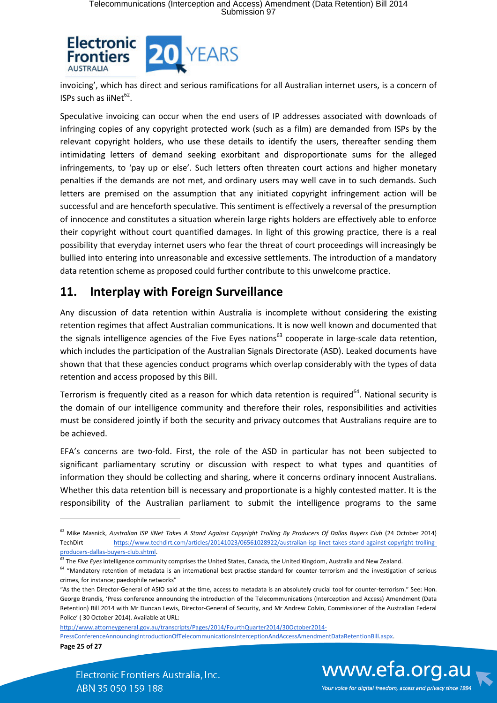

invoicing', which has direct and serious ramifications for all Australian internet users, is a concern of ISPs such as iiNet<sup>62</sup>.

Speculative invoicing can occur when the end users of IP addresses associated with downloads of infringing copies of any copyright protected work (such as a film) are demanded from ISPs by the relevant copyright holders, who use these details to identify the users, thereafter sending them intimidating letters of demand seeking exorbitant and disproportionate sums for the alleged infringements, to 'pay up or else'. Such letters often threaten court actions and higher monetary penalties if the demands are not met, and ordinary users may well cave in to such demands. Such letters are premised on the assumption that any initiated copyright infringement action will be successful and are henceforth speculative. This sentiment is effectively a reversal of the presumption of innocence and constitutes a situation wherein large rights holders are effectively able to enforce their copyright without court quantified damages. In light of this growing practice, there is a real possibility that everyday internet users who fear the threat of court proceedings will increasingly be bullied into entering into unreasonable and excessive settlements. The introduction of a mandatory data retention scheme as proposed could further contribute to this unwelcome practice.

# **11. Interplay with Foreign Surveillance**

Any discussion of data retention within Australia is incomplete without considering the existing retention regimes that affect Australian communications. It is now well known and documented that the signals intelligence agencies of the Five Eyes nations<sup>63</sup> cooperate in large-scale data retention, which includes the participation of the Australian Signals Directorate (ASD). Leaked documents have shown that that these agencies conduct programs which overlap considerably with the types of data retention and access proposed by this Bill.

Terrorism is frequently cited as a reason for which data retention is required<sup>64</sup>. National security is the domain of our intelligence community and therefore their roles, responsibilities and activities must be considered jointly if both the security and privacy outcomes that Australians require are to be achieved.

EFA's concerns are two-fold. First, the role of the ASD in particular has not been subjected to significant parliamentary scrutiny or discussion with respect to what types and quantities of information they should be collecting and sharing, where it concerns ordinary innocent Australians. Whether this data retention bill is necessary and proportionate is a highly contested matter. It is the responsibility of the Australian parliament to submit the intelligence programs to the same

http://www.attorneygeneral.gov.au/transcripts/Pages/2014/FourthQuarter2014/30October2014-

PressConferenceAnnouncingIntroductionOfTelecommunicationsInterceptionAndAccessAmendmentDataRetentionBill.aspx.

**Page 25 of 27**

**.** 

www.efa.org.au Your voice for digital freedom, access and privacy since 1994

<sup>&</sup>lt;sup>62</sup> Mike Masnick, Australian ISP iiNet Takes A Stand Against Copyright Trolling By Producers Of Dallas Buyers Club (24 October 2014) TechDirt https://www.techdirt.com/articles/20141023/06561028922/australian-isp-iinet-takes-stand-against-copyright-trollingproducers-dallas-buyers-club.shtml.

<sup>&</sup>lt;sup>63</sup> The *Five Eyes* intelligence community comprises the United States, Canada, the United Kingdom, Australia and New Zealand.

<sup>&</sup>lt;sup>64</sup> "Mandatory retention of metadata is an international best practise standard for counter-terrorism and the investigation of serious crimes, for instance; paedophile networks"

<sup>&</sup>quot;As the then Director-General of ASIO said at the time, access to metadata is an absolutely crucial tool for counter-terrorism." See: Hon. George Brandis, 'Press conference announcing the introduction of the Telecommunications (Interception and Access) Amendment (Data Retention) Bill 2014 with Mr Duncan Lewis, Director-General of Security, and Mr Andrew Colvin, Commissioner of the Australian Federal Police' ( 30 October 2014). Available at URL: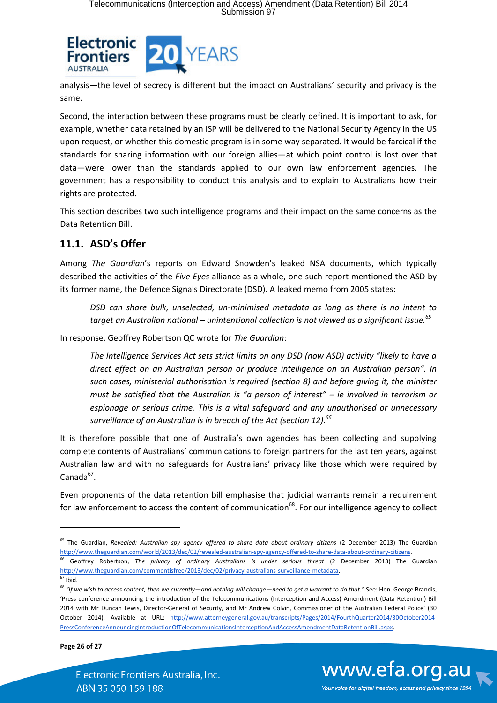

analysis—the level of secrecy is different but the impact on Australians' security and privacy is the same.

Second, the interaction between these programs must be clearly defined. It is important to ask, for example, whether data retained by an ISP will be delivered to the National Security Agency in the US upon request, or whether this domestic program is in some way separated. It would be farcical if the standards for sharing information with our foreign allies—at which point control is lost over that data—were lower than the standards applied to our own law enforcement agencies. The government has a responsibility to conduct this analysis and to explain to Australians how their rights are protected.

This section describes two such intelligence programs and their impact on the same concerns as the Data Retention Bill.

## **11.1. ASD's Offer**

Among *The Guardian*'s reports on Edward Snowden's leaked NSA documents, which typically described the activities of the *Five Eyes* alliance as a whole, one such report mentioned the ASD by its former name, the Defence Signals Directorate (DSD). A leaked memo from 2005 states:

*DSD can share bulk, unselected, un-minimised metadata as long as there is no intent to target an Australian national – unintentional collection is not viewed as a significant issue.<sup>65</sup>*

In response, Geoffrey Robertson QC wrote for *The Guardian*:

*The Intelligence Services Act sets strict limits on any DSD (now ASD) activity "likely to have a direct effect on an Australian person or produce intelligence on an Australian person". In such cases, ministerial authorisation is required (section 8) and before giving it, the minister must be satisfied that the Australian is "a person of interest" – ie involved in terrorism or espionage or serious crime. This is a vital safeguard and any unauthorised or unnecessary surveillance of an Australian is in breach of the Act (section 12).<sup>66</sup>*

It is therefore possible that one of Australia's own agencies has been collecting and supplying complete contents of Australians' communications to foreign partners for the last ten years, against Australian law and with no safeguards for Australians' privacy like those which were required by  $Canada<sup>67</sup>$ .

Even proponents of the data retention bill emphasise that judicial warrants remain a requirement for law enforcement to access the content of communication<sup>68</sup>. For our intelligence agency to collect

**.** 

**Page 26 of 27**



<sup>&</sup>lt;sup>65</sup> The Guardian, *Revealed: Australian spy agency offered to share data about ordinary citizens* (2 December 2013) The Guardian http://www.theguardian.com/world/2013/dec/02/revealed-australian-spy-agency-offered-to-share-data-about-ordinary-citizens.

<sup>&</sup>lt;sup>66</sup> Geoffrey Robertson, *The privacy of ordinary Australians is under serious threat* (2 December 2013) The Guardian http://www.theguardian.com/commentisfree/2013/dec/02/privacy-australians-surveillance-metadata.

 $67$  Ibid.

<sup>68</sup> *"If we wish to access content, then we currently—and nothing will change—need to get a warrant to do that."* See: Hon. George Brandis, 'Press conference announcing the introduction of the Telecommunications (Interception and Access) Amendment (Data Retention) Bill 2014 with Mr Duncan Lewis, Director-General of Security, and Mr Andrew Colvin, Commissioner of the Australian Federal Police' (30 October 2014). Available at URL: http://www.attorneygeneral.gov.au/transcripts/Pages/2014/FourthQuarter2014/30October2014- PressConferenceAnnouncingIntroductionOfTelecommunicationsInterceptionAndAccessAmendmentDataRetentionBill.aspx.